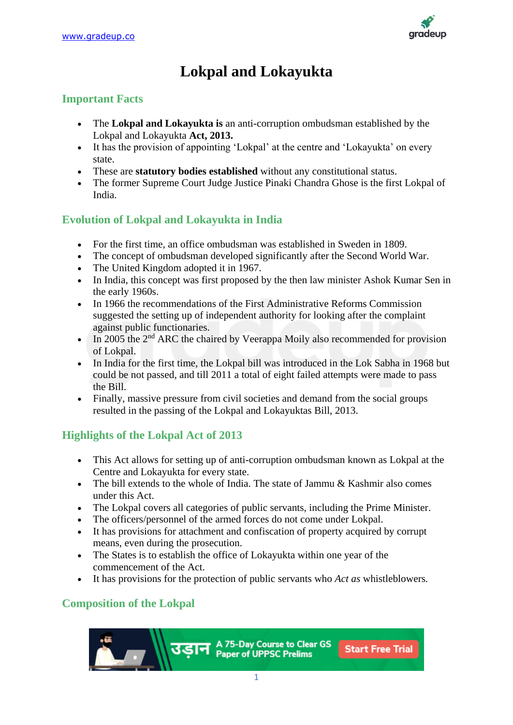

# **Lokpal and Lokayukta**

## **Important Facts**

- The **Lokpal and Lokayukta is** an anti-corruption ombudsman established by the Lokpal and Lokayukta **Act, 2013.**
- It has the provision of appointing 'Lokpal' at the centre and 'Lokayukta' on every state.
- These are **statutory bodies established** without any constitutional status.
- The former Supreme Court Judge Justice Pinaki Chandra Ghose is the first Lokpal of India.

## **Evolution of Lokpal and Lokayukta in India**

- For the first time, an office ombudsman was established in Sweden in 1809.
- The concept of ombudsman developed significantly after the Second World War.
- The United Kingdom adopted it in 1967.
- In India, this concept was first proposed by the then law minister Ashok Kumar Sen in the early 1960s.
- In 1966 the recommendations of the First Administrative Reforms Commission suggested the setting up of independent authority for looking after the complaint against public functionaries.
- In 2005 the  $2<sup>nd</sup>$  ARC the chaired by Veerappa Moily also recommended for provision of Lokpal.
- In India for the first time, the Lokpal bill was introduced in the Lok Sabha in 1968 but could be not passed, and till 2011 a total of eight failed attempts were made to pass the Bill.
- Finally, massive pressure from civil societies and demand from the social groups resulted in the passing of the Lokpal and Lokayuktas Bill, 2013.

## **Highlights of the Lokpal Act of 2013**

- This Act allows for setting up of anti-corruption ombudsman known as Lokpal at the Centre and Lokayukta for every state.
- The bill extends to the whole of India. The state of Jammu & Kashmir also comes under this Act.
- The Lokpal covers all categories of public servants, including the Prime Minister.
- The officers/personnel of the armed forces do not come under Lokpal.
- It has provisions for attachment and confiscation of property acquired by corrupt means, even during the prosecution.
- The States is to establish the office of Lokayukta within one year of the commencement of the Act.
- It has provisions for the protection of public servants who *Act as* whistleblowers*.*

## **Composition of the Lokpal**

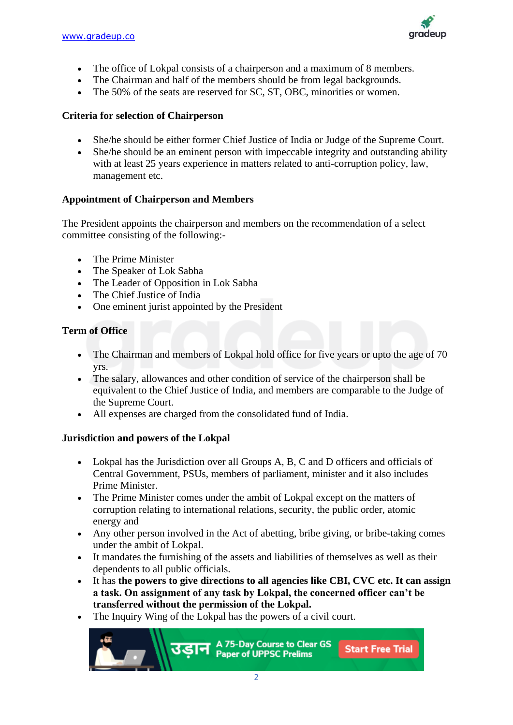

- The office of Lokpal consists of a chairperson and a maximum of 8 members.
- The Chairman and half of the members should be from legal backgrounds.
- The 50% of the seats are reserved for SC, ST, OBC, minorities or women.

#### **Criteria for selection of Chairperson**

- She/he should be either former Chief Justice of India or Judge of the Supreme Court.
- She/he should be an eminent person with impeccable integrity and outstanding ability with at least 25 years experience in matters related to anti-corruption policy, law, management etc.

#### **Appointment of Chairperson and Members**

The President appoints the chairperson and members on the recommendation of a select committee consisting of the following:-

- The Prime Minister
- The Speaker of Lok Sabha
- The Leader of Opposition in Lok Sabha
- The Chief Justice of India
- One eminent jurist appointed by the President

#### **Term of Office**

- The Chairman and members of Lokpal hold office for five years or upto the age of 70 yrs.
- The salary, allowances and other condition of service of the chairperson shall be equivalent to the Chief Justice of India, and members are comparable to the Judge of the Supreme Court.
- All expenses are charged from the consolidated fund of India.

#### **Jurisdiction and powers of the Lokpal**

- Lokpal has the Jurisdiction over all Groups A, B, C and D officers and officials of Central Government, PSUs, members of parliament, minister and it also includes Prime Minister.
- The Prime Minister comes under the ambit of Lokpal except on the matters of corruption relating to international relations, security, the public order, atomic energy and
- Any other person involved in the Act of abetting, bribe giving, or bribe-taking comes under the ambit of Lokpal.
- It mandates the furnishing of the assets and liabilities of themselves as well as their dependents to all public officials.
- It has **the powers to give directions to all agencies like CBI, CVC etc. It can assign a task. On assignment of any task by Lokpal, the concerned officer can't be transferred without the permission of the Lokpal.**
- The Inquiry Wing of the Lokpal has the powers of a civil court.